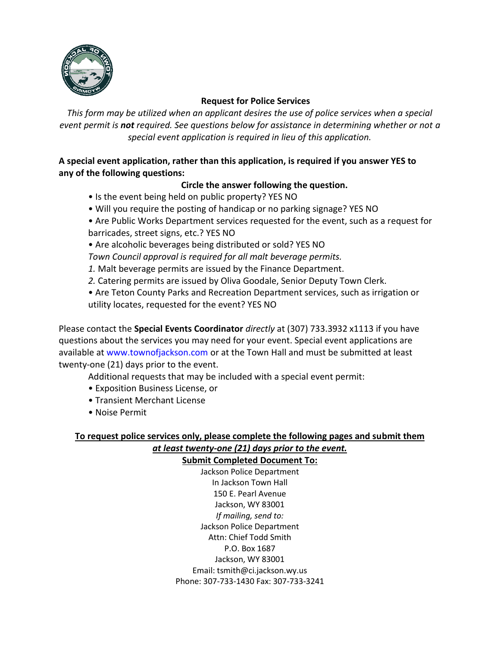

#### **Request for Police Services**

*This form may be utilized when an applicant desires the use of police services when a special event permit is not required. See questions below for assistance in determining whether or not a special event application is required in lieu of this application.*

# **A special event application, rather than this application, is required if you answer YES to any of the following questions:**

# **Circle the answer following the question.**

- Is the event being held on public property? YES NO
- Will you require the posting of handicap or no parking signage? YES NO
- Are Public Works Department services requested for the event, such as a request for barricades, street signs, etc.? YES NO
- Are alcoholic beverages being distributed or sold? YES NO

*Town Council approval is required for all malt beverage permits.*

- *1.* Malt beverage permits are issued by the Finance Department.
- *2.* Catering permits are issued by Oliva Goodale, Senior Deputy Town Clerk.
- Are Teton County Parks and Recreation Department services, such as irrigation or utility locates, requested for the event? YES NO

Please contact the **Special Events Coordinator** *directly* at (307) 733.3932 x1113 if you have questions about the services you may need for your event. Special event applications are available at www.townofjackson.com or at the Town Hall and must be submitted at least twenty-one (21) days prior to the event.

Additional requests that may be included with a special event permit:

- Exposition Business License, or
- Transient Merchant License
- Noise Permit

## **To request police services only, please complete the following pages and submit them** *at least twenty-one (21) days prior to the event.* **Submit Completed Document To:**

Jackson Police Department In Jackson Town Hall 150 E. Pearl Avenue Jackson, WY 83001 *If mailing, send to:* Jackson Police Department Attn: Chief Todd Smith P.O. Box 1687 Jackson, WY 83001 Email: tsmith@ci.jackson.wy.us Phone: 307-733-1430 Fax: 307-733-3241